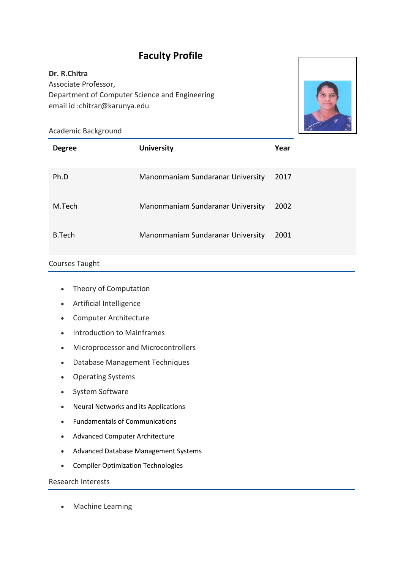# **Faculty Profile**

# **Dr. R.Chitra** Associate Professor, Department of Computer Science and Engineering email id :chitrar@karunya.edu



#### Academic Background

| <b>Degree</b> | <b>University</b>                 | Year |
|---------------|-----------------------------------|------|
| Ph.D          | Manonmaniam Sundaranar University | 2017 |
| M.Tech        | Manonmaniam Sundaranar University | 2002 |
| B.Tech        | Manonmaniam Sundaranar University | 2001 |

### Courses Taught

- Theory of Computation
- Artificial Intelligence
- Computer Architecture
- Introduction to Mainframes
- Microprocessor and Microcontrollers
- Database Management Techniques
- Operating Systems
- System Software
- Neural Networks and its Applications
- Fundamentals of Communications
- Advanced Computer Architecture
- Advanced Database Management Systems
- Compiler Optimization Technologies

## Research Interests

• Machine Learning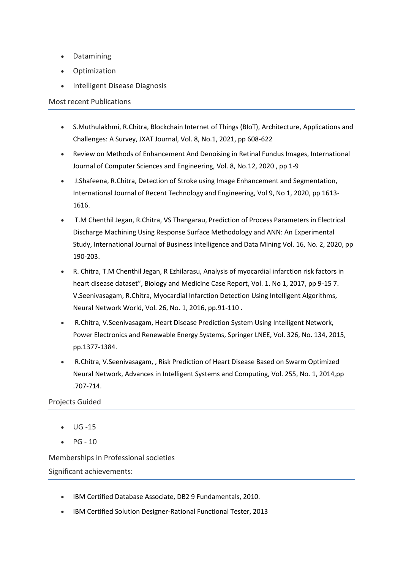- Datamining
- Optimization
- Intelligent Disease Diagnosis

#### Most recent Publications

- S.Muthulakhmi, R.Chitra, Blockchain Internet of Things (BIoT), Architecture, Applications and Challenges: A Survey, JXAT Journal, Vol. 8, No.1, 2021, pp 608-622
- Review on Methods of Enhancement And Denoising in Retinal Fundus Images, International Journal of Computer Sciences and Engineering, Vol. 8, No.12, 2020 , pp 1-9
- J.Shafeena, R.Chitra, Detection of Stroke using Image Enhancement and Segmentation, International Journal of Recent Technology and Engineering, Vol 9, No 1, 2020, pp 1613- 1616.
- T.M Chenthil Jegan, R.Chitra, VS Thangarau, Prediction of Process Parameters in Electrical Discharge Machining Using Response Surface Methodology and ANN: An Experimental Study, International Journal of Business Intelligence and Data Mining Vol. 16, No. 2, 2020, pp 190-203.
- R. Chitra, T.M Chenthil Jegan, R Ezhilarasu, Analysis of myocardial infarction risk factors in heart disease dataset", Biology and Medicine Case Report, Vol. 1. No 1, 2017, pp 9-15 7. V.Seenivasagam, R.Chitra, Myocardial Infarction Detection Using Intelligent Algorithms, Neural Network World, Vol. 26, No. 1, 2016, pp.91-110 .
- R.Chitra, V.Seenivasagam, Heart Disease Prediction System Using Intelligent Network, Power Electronics and Renewable Energy Systems, Springer LNEE, Vol. 326, No. 134, 2015, pp.1377-1384.
- R.Chitra, V.Seenivasagam, , Risk Prediction of Heart Disease Based on Swarm Optimized Neural Network, Advances in Intelligent Systems and Computing, Vol. 255, No. 1, 2014,pp .707-714.

#### Projects Guided

- UG -15
- $\bullet$  PG 10

Memberships in Professional societies Significant achievements:

- IBM Certified Database Associate, DB2 9 Fundamentals, 2010.
- IBM Certified Solution Designer-Rational Functional Tester, 2013